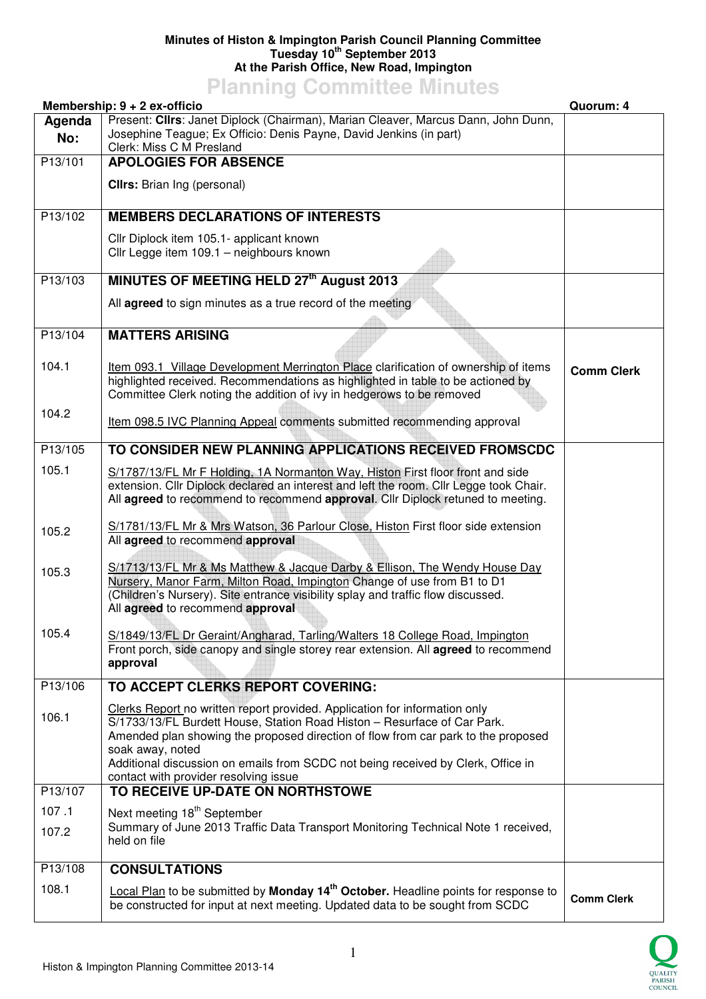## **Minutes of Histon & Impington Parish Council Planning Committee Tuesday 10th September 2013 At the Parish Office, New Road, Impington**

## **Planning Committee Minutes**

|                | Membership: 9 + 2 ex-officio                                                                                                                                                                                                                                                                                                                                                                 | Quorum: 4         |
|----------------|----------------------------------------------------------------------------------------------------------------------------------------------------------------------------------------------------------------------------------------------------------------------------------------------------------------------------------------------------------------------------------------------|-------------------|
| Agenda<br>No:  | Present: Cllrs: Janet Diplock (Chairman), Marian Cleaver, Marcus Dann, John Dunn,<br>Josephine Teague; Ex Officio: Denis Payne, David Jenkins (in part)<br>Clerk: Miss C M Presland                                                                                                                                                                                                          |                   |
| P13/101        | <b>APOLOGIES FOR ABSENCE</b>                                                                                                                                                                                                                                                                                                                                                                 |                   |
|                | <b>Clirs:</b> Brian Ing (personal)                                                                                                                                                                                                                                                                                                                                                           |                   |
| P13/102        | <b>MEMBERS DECLARATIONS OF INTERESTS</b>                                                                                                                                                                                                                                                                                                                                                     |                   |
|                | Cllr Diplock item 105.1- applicant known<br>Cllr Legge item 109.1 - neighbours known                                                                                                                                                                                                                                                                                                         |                   |
| P13/103        | MINUTES OF MEETING HELD 27th August 2013                                                                                                                                                                                                                                                                                                                                                     |                   |
|                | All agreed to sign minutes as a true record of the meeting                                                                                                                                                                                                                                                                                                                                   |                   |
| P13/104        | <b>MATTERS ARISING</b>                                                                                                                                                                                                                                                                                                                                                                       |                   |
| 104.1          | Item 093.1 Village Development Merrington Place clarification of ownership of items<br>highlighted received. Recommendations as highlighted in table to be actioned by<br>Committee Clerk noting the addition of ivy in hedgerows to be removed                                                                                                                                              | <b>Comm Clerk</b> |
| 104.2          | Item 098.5 IVC Planning Appeal comments submitted recommending approval                                                                                                                                                                                                                                                                                                                      |                   |
| P13/105        | TO CONSIDER NEW PLANNING APPLICATIONS RECEIVED FROMSCDC                                                                                                                                                                                                                                                                                                                                      |                   |
| 105.1          | S/1787/13/FL Mr F Holding, 1A Normanton Way, Histon First floor front and side<br>extension. Cllr Diplock declared an interest and left the room. Cllr Legge took Chair.<br>All agreed to recommend to recommend approval. Cllr Diplock retuned to meeting.                                                                                                                                  |                   |
| 105.2          | S/1781/13/FL Mr & Mrs Watson, 36 Parlour Close, Histon First floor side extension<br>All agreed to recommend approval                                                                                                                                                                                                                                                                        |                   |
| 105.3          | S/1713/13/FL Mr & Ms Matthew & Jacque Darby & Ellison, The Wendy House Day<br>Nursery, Manor Farm, Milton Road, Impington Change of use from B1 to D1<br>(Children's Nursery). Site entrance visibility splay and traffic flow discussed.<br>All agreed to recommend approval                                                                                                                |                   |
| 105.4          | S/1849/13/FL Dr Geraint/Angharad, Tarling/Walters 18 College Road, Impington<br>Front porch, side canopy and single storey rear extension. All <b>agreed</b> to recommend<br>approval                                                                                                                                                                                                        |                   |
| P13/106        | TO ACCEPT CLERKS REPORT COVERING:                                                                                                                                                                                                                                                                                                                                                            |                   |
| 106.1          | Clerks Report no written report provided. Application for information only<br>S/1733/13/FL Burdett House, Station Road Histon - Resurface of Car Park.<br>Amended plan showing the proposed direction of flow from car park to the proposed<br>soak away, noted<br>Additional discussion on emails from SCDC not being received by Clerk, Office in<br>contact with provider resolving issue |                   |
| P13/107        | TO RECEIVE UP-DATE ON NORTHSTOWE                                                                                                                                                                                                                                                                                                                                                             |                   |
| 107.1<br>107.2 | Next meeting 18 <sup>th</sup> September<br>Summary of June 2013 Traffic Data Transport Monitoring Technical Note 1 received,<br>held on file                                                                                                                                                                                                                                                 |                   |
| P13/108        | <b>CONSULTATIONS</b>                                                                                                                                                                                                                                                                                                                                                                         |                   |
| 108.1          | Local Plan to be submitted by Monday 14 <sup>th</sup> October. Headline points for response to<br>be constructed for input at next meeting. Updated data to be sought from SCDC                                                                                                                                                                                                              | <b>Comm Clerk</b> |